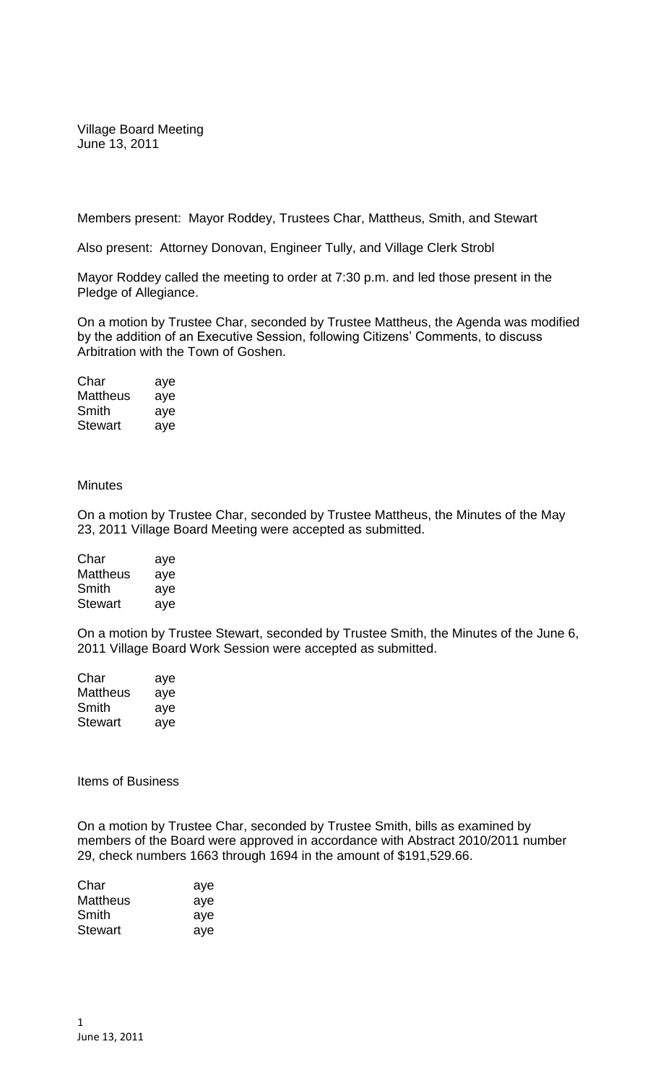Village Board Meeting June 13, 2011

Members present: Mayor Roddey, Trustees Char, Mattheus, Smith, and Stewart

Also present: Attorney Donovan, Engineer Tully, and Village Clerk Strobl

Mayor Roddey called the meeting to order at 7:30 p.m. and led those present in the Pledge of Allegiance.

On a motion by Trustee Char, seconded by Trustee Mattheus, the Agenda was modified by the addition of an Executive Session, following Citizens' Comments, to discuss Arbitration with the Town of Goshen.

| Char           | aye |
|----------------|-----|
| Mattheus       | aye |
| Smith          | aye |
| <b>Stewart</b> | aye |

## **Minutes**

On a motion by Trustee Char, seconded by Trustee Mattheus, the Minutes of the May 23, 2011 Village Board Meeting were accepted as submitted.

| Char           | aye |
|----------------|-----|
| Mattheus       | aye |
| Smith          | aye |
| <b>Stewart</b> | aye |

On a motion by Trustee Stewart, seconded by Trustee Smith, the Minutes of the June 6, 2011 Village Board Work Session were accepted as submitted.

| Char           | aye |
|----------------|-----|
| Mattheus       | aye |
| Smith          | aye |
| <b>Stewart</b> | aye |

Items of Business

On a motion by Trustee Char, seconded by Trustee Smith, bills as examined by members of the Board were approved in accordance with Abstract 2010/2011 number 29, check numbers 1663 through 1694 in the amount of \$191,529.66.

| Char           | aye |
|----------------|-----|
| Mattheus       | aye |
| Smith          | aye |
| <b>Stewart</b> | aye |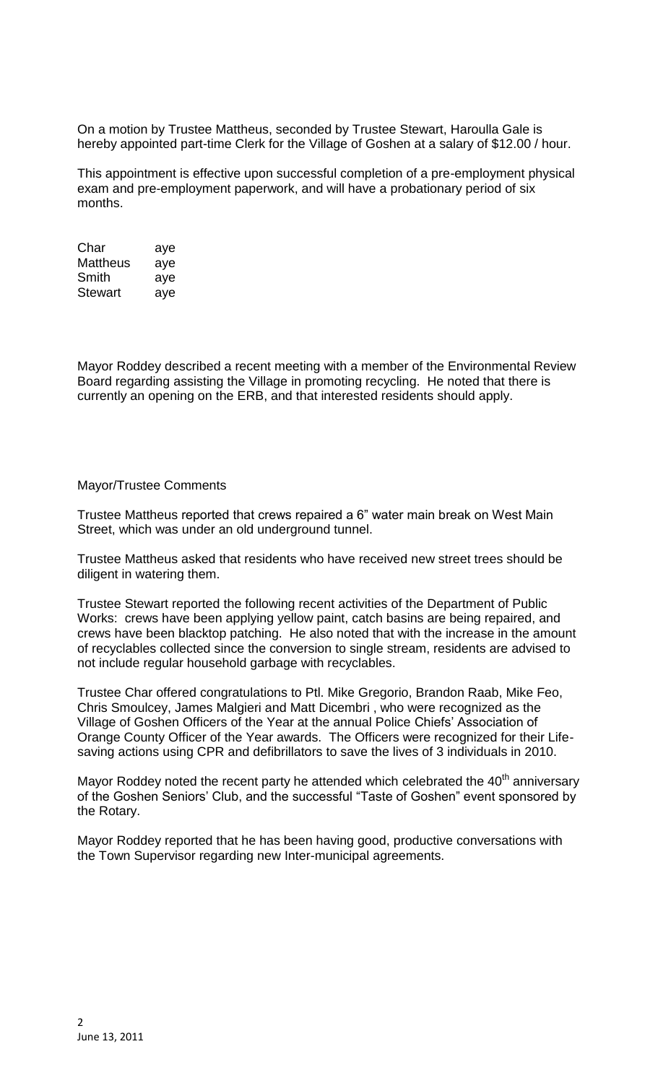On a motion by Trustee Mattheus, seconded by Trustee Stewart, Haroulla Gale is hereby appointed part-time Clerk for the Village of Goshen at a salary of \$12.00 / hour.

This appointment is effective upon successful completion of a pre-employment physical exam and pre-employment paperwork, and will have a probationary period of six months.

| Char     | aye |
|----------|-----|
| Mattheus | aye |
| Smith    | aye |
| Stewart  | aye |

Mayor Roddey described a recent meeting with a member of the Environmental Review Board regarding assisting the Village in promoting recycling. He noted that there is currently an opening on the ERB, and that interested residents should apply.

## Mayor/Trustee Comments

Trustee Mattheus reported that crews repaired a 6" water main break on West Main Street, which was under an old underground tunnel.

Trustee Mattheus asked that residents who have received new street trees should be diligent in watering them.

Trustee Stewart reported the following recent activities of the Department of Public Works: crews have been applying yellow paint, catch basins are being repaired, and crews have been blacktop patching. He also noted that with the increase in the amount of recyclables collected since the conversion to single stream, residents are advised to not include regular household garbage with recyclables.

Trustee Char offered congratulations to Ptl. Mike Gregorio, Brandon Raab, Mike Feo, Chris Smoulcey, James Malgieri and Matt Dicembri , who were recognized as the Village of Goshen Officers of the Year at the annual Police Chiefs' Association of Orange County Officer of the Year awards. The Officers were recognized for their Lifesaving actions using CPR and defibrillators to save the lives of 3 individuals in 2010.

Mayor Roddey noted the recent party he attended which celebrated the  $40<sup>th</sup>$  anniversary of the Goshen Seniors' Club, and the successful "Taste of Goshen" event sponsored by the Rotary.

Mayor Roddey reported that he has been having good, productive conversations with the Town Supervisor regarding new Inter-municipal agreements.